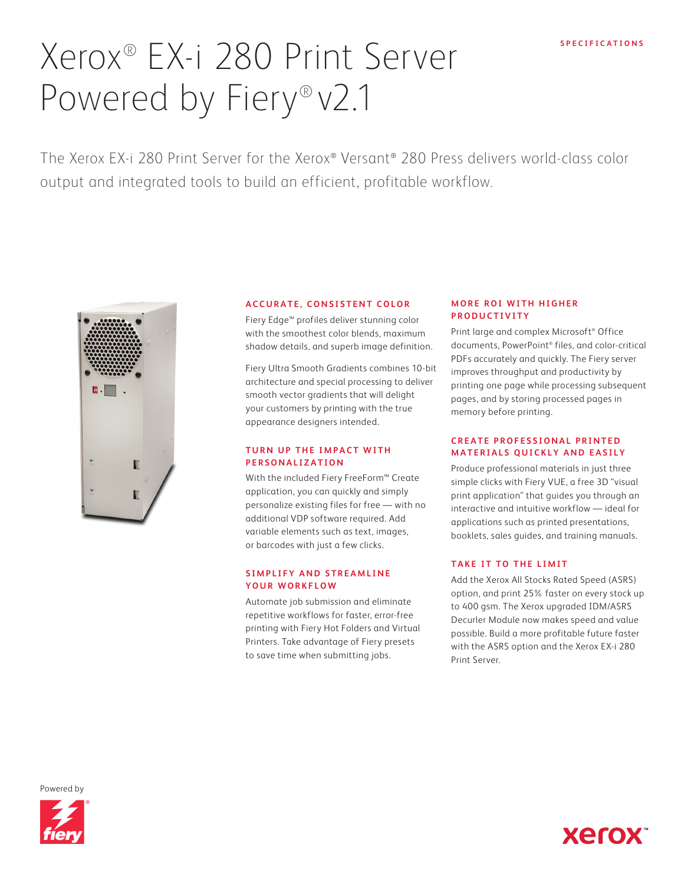# Xerox® EX-i 280 Print Server Powered by Fiery® v2.1

The Xerox EX-i 280 Print Server for the Xerox® Versant® 280 Press delivers world-class color output and integrated tools to build an efficient, profitable workflow.



# **ACCURATE, CONSISTENT COLOR**

Fiery Edge™ profiles deliver stunning color with the smoothest color blends, maximum shadow details, and superb image definition.

Fiery Ultra Smooth Gradients combines 10-bit architecture and special processing to deliver smooth vector gradients that will delight your customers by printing with the true appearance designers intended.

#### **TURN UP THE IMPACT WITH PERSONALIZATION**

With the included Fiery FreeForm™ Create application, you can quickly and simply personalize existing files for free — with no additional VDP software required. Add variable elements such as text, images, or barcodes with just a few clicks.

## **SIMPLIFY AND STREAMLINE YOUR WORKFLOW**

Automate job submission and eliminate repetitive workflows for faster, error-free printing with Fiery Hot Folders and Virtual Printers. Take advantage of Fiery presets to save time when submitting jobs.

## **MORE ROI WITH HIGHER PRODUCTIVITY**

Print large and complex Microsoft® Office documents, PowerPoint® files, and color-critical PDFs accurately and quickly. The Fiery server improves throughput and productivity by printing one page while processing subsequent pages, and by storing processed pages in memory before printing.

# **CREATE PROFESSIONAL PRINTED MATERIALS QUICKLY AND EASILY**

Produce professional materials in just three simple clicks with Fiery VUE, a free 3D "visual print application" that guides you through an interactive and intuitive workflow — ideal for applications such as printed presentations, booklets, sales guides, and training manuals.

# **TAKE IT TO THE LIMIT**

Add the Xerox All Stocks Rated Speed (ASRS) option, and print 25% faster on every stock up to 400 gsm. The Xerox upgraded IDM/ASRS Decurler Module now makes speed and value possible. Build a more profitable future faster with the ASRS option and the Xerox EX-i 280 Print Server.

Powered by